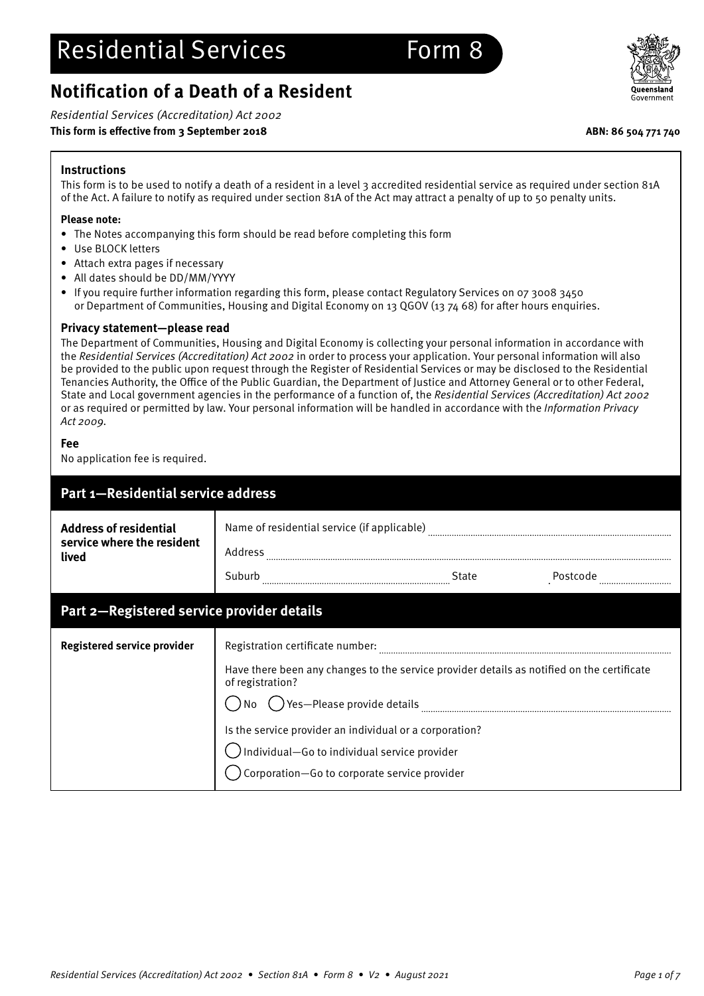# **Notification of a Death of a Resident**

Residential Services (Accreditation) Act 2002

## **This form is effective from 3 September 2018 ABN: 86 504 771 740**



## **Instructions**

This form is to be used to notify a death of a resident in a level 3 accredited residential service as required under section 81A of the Act. A failure to notify as required under section 81A of the Act may attract a penalty of up to 50 penalty units.

## **Please note:**

- The Notes accompanying this form should be read before completing this form
- Use BLOCK letters
- Attach extra pages if necessary
- All dates should be DD/MM/YYYY
- If you require further information regarding this form, please contact Regulatory Services on 07 3008 3450 or Department of Communities, Housing and Digital Economy on 13 QGOV (13 74 68) for after hours enquiries.

## **Privacy statement—please read**

The Department of Communities, Housing and Digital Economy is collecting your personal information in accordance with the Residential Services (Accreditation) Act 2002 in order to process your application. Your personal information will also be provided to the public upon request through the Register of Residential Services or may be disclosed to the Residential Tenancies Authority, the Office of the Public Guardian, the Department of Justice and Attorney General or to other Federal, State and Local government agencies in the performance of a function of, the Residential Services (Accreditation) Act 2002 or as required or permitted by law. Your personal information will be handled in accordance with the Information Privacy Act 2009.

## **Fee**

No application fee is required.

| Part 1-Residential service address                                   |                                                                                                                                                                                                                                                                                                                                                              |  |
|----------------------------------------------------------------------|--------------------------------------------------------------------------------------------------------------------------------------------------------------------------------------------------------------------------------------------------------------------------------------------------------------------------------------------------------------|--|
| <b>Address of residential</b><br>service where the resident<br>lived | Name of residential service (if applicable)<br>Address<br>Suburb<br>State<br>Postcode                                                                                                                                                                                                                                                                        |  |
| Part 2-Registered service provider details                           |                                                                                                                                                                                                                                                                                                                                                              |  |
| Registered service provider                                          | Registration certificate number:<br>Have there been any changes to the service provider details as notified on the certificate<br>of registration?<br>$\bigcirc$ Yes—Please provide details<br>No<br>Is the service provider an individual or a corporation?<br>Individual-Go to individual service provider<br>Corporation-Go to corporate service provider |  |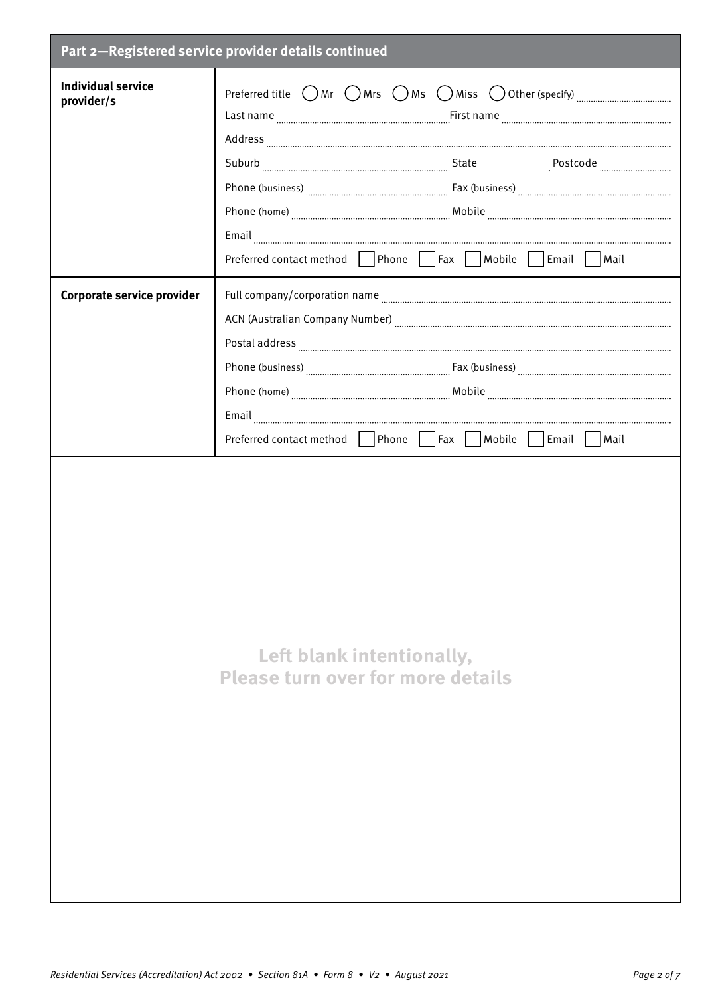|                                         | Part 2-Registered service provider details continued                                                                                               |
|-----------------------------------------|----------------------------------------------------------------------------------------------------------------------------------------------------|
| <b>Individual service</b><br>provider/s | Preferred title $\bigcirc$ Mr $\bigcirc$ Mrs $\bigcirc$ Ms $\bigcirc$ Miss $\bigcirc$ Other (specify) $\ldots$ $\ldots$ $\ldots$ $\ldots$ $\ldots$ |
|                                         |                                                                                                                                                    |
|                                         | Preferred contact method     Phone       Fax     Mobile     Email     Mail                                                                         |
| Corporate service provider              |                                                                                                                                                    |
|                                         |                                                                                                                                                    |
|                                         | Email<br>Preferred contact method   Phone   Fax   Mobile   Email   Mail                                                                            |
|                                         | Left blank intentionally,<br><b>Please turn over for more details</b>                                                                              |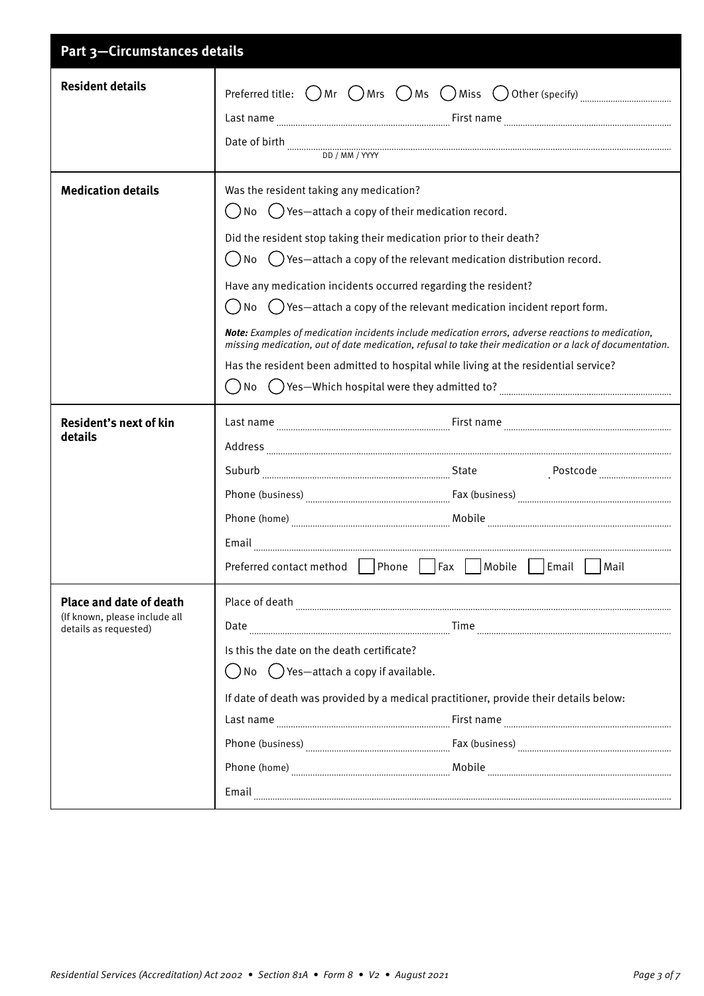| Part 3-Circumstances details                                                             |                                                                                                                                                                                                                                                                                                                                                                                                                                                                                                                                                                                                                                                                                                                                                                                                                                                                                                      |
|------------------------------------------------------------------------------------------|------------------------------------------------------------------------------------------------------------------------------------------------------------------------------------------------------------------------------------------------------------------------------------------------------------------------------------------------------------------------------------------------------------------------------------------------------------------------------------------------------------------------------------------------------------------------------------------------------------------------------------------------------------------------------------------------------------------------------------------------------------------------------------------------------------------------------------------------------------------------------------------------------|
| <b>Resident details</b>                                                                  | Preferred title: $\bigcap$ Mr $\bigcap$ Mrs $\bigcap$ Ms $\bigcap$ Miss $\bigcup$ Other (specify) $\ldots$ $\ldots$ $\ldots$ $\ldots$ $\ldots$<br>Date of birth with the continuum continuum contract of birth with the continuum continuum continuum continuum continuum continuum continuum continuum continuum continuum continuum continuum continuum continuum continuum co<br>DD / MM / YYYY                                                                                                                                                                                                                                                                                                                                                                                                                                                                                                   |
| <b>Medication details</b>                                                                | Was the resident taking any medication?<br>$\left(\begin{array}{c} \end{array}\right)$ $\left(\begin{array}{c} \end{array}\right)$ Yes—attach a copy of their medication record.<br>Did the resident stop taking their medication prior to their death?<br>$\left(\begin{array}{c} \end{array}\right)$ No $\left(\begin{array}{c} \end{array}\right)$ Yes—attach a copy of the relevant medication distribution record.<br>Have any medication incidents occurred regarding the resident?<br>$\binom{1}{2}$ Yes—attach a copy of the relevant medication incident report form.<br>No<br><b>Note:</b> Examples of medication incidents include medication errors, adverse reactions to medication,<br>missing medication, out of date medication, refusal to take their medication or a lack of documentation.<br>Has the resident been admitted to hospital while living at the residential service? |
| Resident's next of kin<br>details                                                        | Email<br>Preferred contact method Phone Fax Mobile Email Mail                                                                                                                                                                                                                                                                                                                                                                                                                                                                                                                                                                                                                                                                                                                                                                                                                                        |
| <b>Place and date of death</b><br>(If known, please include all<br>details as requested) | Place of death<br>Is this the date on the death certificate?<br>$\binom{1}{x}$ No $\binom{1}{x}$ Yes—attach a copy if available.<br>If date of death was provided by a medical practitioner, provide their details below:<br>Email                                                                                                                                                                                                                                                                                                                                                                                                                                                                                                                                                                                                                                                                   |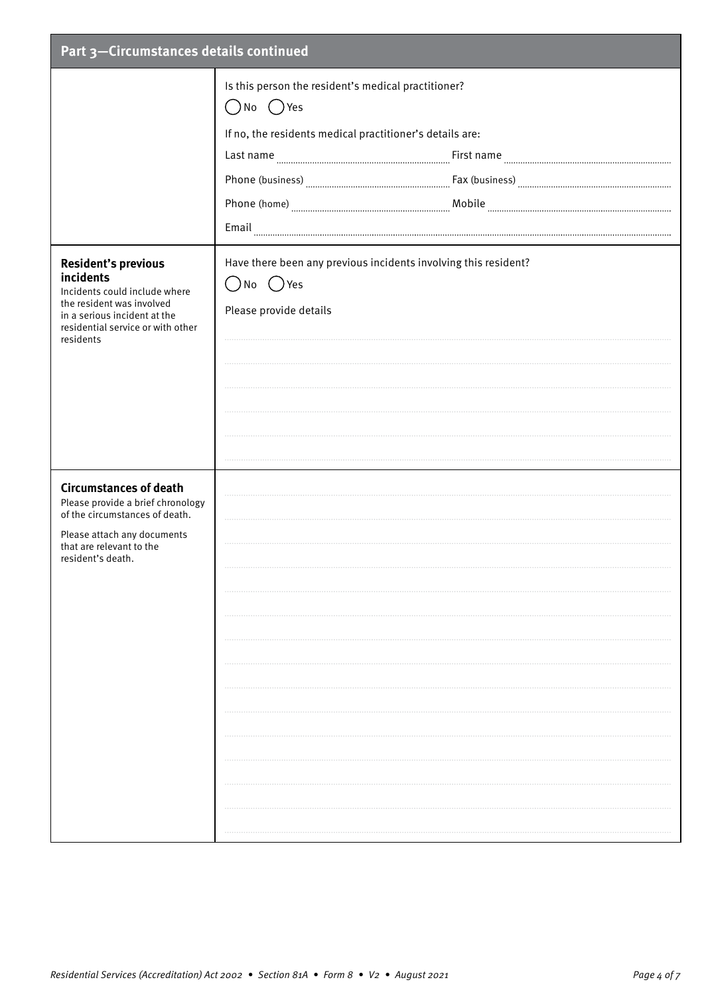| Part 3-Circumstances details continued                                                                                                                                                  |                                                                                                                                                                                                                                                                                                                                                                                                                                                                                                                                                                                                                                                                                                                                                                                                                                       |  |
|-----------------------------------------------------------------------------------------------------------------------------------------------------------------------------------------|---------------------------------------------------------------------------------------------------------------------------------------------------------------------------------------------------------------------------------------------------------------------------------------------------------------------------------------------------------------------------------------------------------------------------------------------------------------------------------------------------------------------------------------------------------------------------------------------------------------------------------------------------------------------------------------------------------------------------------------------------------------------------------------------------------------------------------------|--|
|                                                                                                                                                                                         | Is this person the resident's medical practitioner?<br>$\bigcirc$ No $\bigcirc$ Yes<br>If no, the residents medical practitioner's details are:<br>$\textbf{Phone (home)} \textcolor{red}{}\textcolor{blue}{}\textcolor{blue}{}\textcolor{blue}{}\textcolor{blue}{}\textcolor{blue}{}\textcolor{blue}{}\textcolor{blue}{}\textcolor{blue}{}\textcolor{blue}{}\textcolor{blue}{}\textcolor{blue}{}\textcolor{blue}{}\textcolor{blue}{}\textcolor{blue}{}\textcolor{blue}{}\textcolor{blue}{}\textcolor{blue}{}\textcolor{blue}{}\textcolor{blue}{}\textcolor{blue}{}\textcolor{blue}{}\textcolor{blue}{}\textcolor{blue}{}\textcolor{blue}{}\textcolor{blue}{}\textcolor{blue}{}\textcolor{blue}{}\textcolor{blue}{}\textcolor{blue}{}\textcolor{blue}{}\textcolor{blue}{}\textcolor{blue}{}\textcolor{blue}{}\textcolor{blue}{}\text$ |  |
| <b>Resident's previous</b><br>incidents<br>Incidents could include where<br>the resident was involved<br>in a serious incident at the<br>residential service or with other<br>residents | Have there been any previous incidents involving this resident?<br>()No ()Yes<br>Please provide details                                                                                                                                                                                                                                                                                                                                                                                                                                                                                                                                                                                                                                                                                                                               |  |
| <b>Circumstances of death</b><br>Please provide a brief chronology<br>of the circumstances of death.<br>Please attach any documents<br>that are relevant to the<br>resident's death.    |                                                                                                                                                                                                                                                                                                                                                                                                                                                                                                                                                                                                                                                                                                                                                                                                                                       |  |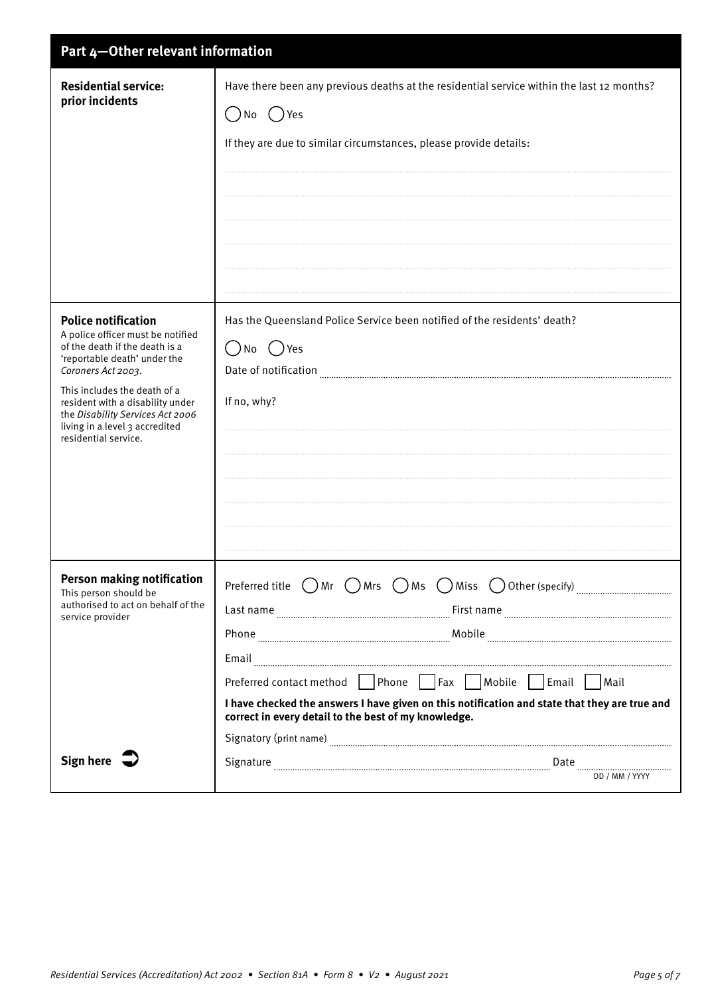| Part 4-Other relevant information                                                                                                                                                                                                                                                                                         |                                                                                                                                                                                                                                                                                                                                                                                                                                                                                                                                                                                 |  |
|---------------------------------------------------------------------------------------------------------------------------------------------------------------------------------------------------------------------------------------------------------------------------------------------------------------------------|---------------------------------------------------------------------------------------------------------------------------------------------------------------------------------------------------------------------------------------------------------------------------------------------------------------------------------------------------------------------------------------------------------------------------------------------------------------------------------------------------------------------------------------------------------------------------------|--|
| <b>Residential service:</b><br>prior incidents                                                                                                                                                                                                                                                                            | Have there been any previous deaths at the residential service within the last 12 months?<br>No ( ) Yes<br>If they are due to similar circumstances, please provide details:                                                                                                                                                                                                                                                                                                                                                                                                    |  |
| <b>Police notification</b><br>A police officer must be notified<br>of the death if the death is a<br>'reportable death' under the<br>Coroners Act 2003.<br>This includes the death of a<br>resident with a disability under<br>the Disability Services Act 2006<br>living in a level 3 accredited<br>residential service. | Has the Queensland Police Service been notified of the residents' death?<br>()Yes<br>$( \ )$<br>No<br>Date of notification<br>If no, why?                                                                                                                                                                                                                                                                                                                                                                                                                                       |  |
| <b>Person making notification</b><br>This person should be<br>authorised to act on behalf of the<br>service provider                                                                                                                                                                                                      | Preferred title $\bigcirc$ Mr $\bigcirc$ Mrs $\bigcirc$ Ms $\bigcirc$ Miss $\bigcirc$ Other (specify) $\ldots$<br>Email<br>Preferred contact method Phone Fax Mobile Email Mail<br>I have checked the answers I have given on this notification and state that they are true and<br>correct in every detail to the best of my knowledge.<br>Signatory (print name) <b>Example 2</b> and the contract of the contract of the contract of the contract of the contract of the contract of the contract of the contract of the contract of the contract of the contract of the con |  |
| Sign here $\overline{\phantom{a}}$                                                                                                                                                                                                                                                                                        | DD / MM / YYYY                                                                                                                                                                                                                                                                                                                                                                                                                                                                                                                                                                  |  |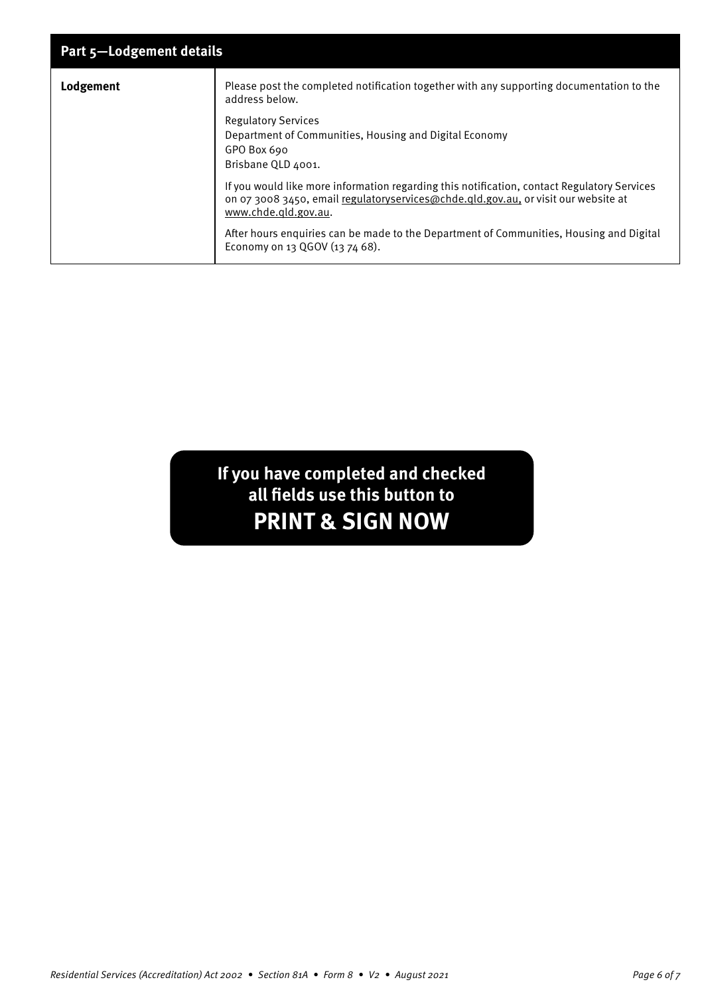| Part 5-Lodgement details |                                                                                                                                                                                                           |  |
|--------------------------|-----------------------------------------------------------------------------------------------------------------------------------------------------------------------------------------------------------|--|
| Lodgement                | Please post the completed notification together with any supporting documentation to the<br>address below.                                                                                                |  |
|                          | <b>Regulatory Services</b><br>Department of Communities, Housing and Digital Economy<br>GPO Box 690<br>Brisbane QLD 4001.                                                                                 |  |
|                          | If you would like more information regarding this notification, contact Regulatory Services<br>on 07 3008 3450, email regulatoryservices@chde.qld.gov.au, or visit our website at<br>www.chde.gld.gov.au. |  |
|                          | After hours enquiries can be made to the Department of Communities, Housing and Digital<br>Economy on 13 QGOV (13 74 68).                                                                                 |  |

## **If you have completed and checked all fields use this button to PRINT & SIGN NOW**